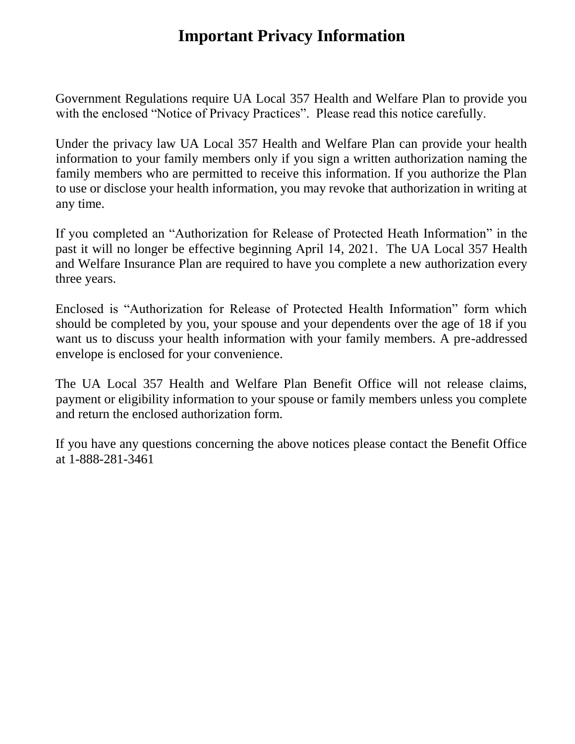## **Important Privacy Information**

Government Regulations require UA Local 357 Health and Welfare Plan to provide you with the enclosed "Notice of Privacy Practices". Please read this notice carefully.

Under the privacy law UA Local 357 Health and Welfare Plan can provide your health information to your family members only if you sign a written authorization naming the family members who are permitted to receive this information. If you authorize the Plan to use or disclose your health information, you may revoke that authorization in writing at any time.

If you completed an "Authorization for Release of Protected Heath Information" in the past it will no longer be effective beginning April 14, 2021. The UA Local 357 Health and Welfare Insurance Plan are required to have you complete a new authorization every three years.

Enclosed is "Authorization for Release of Protected Health Information" form which should be completed by you, your spouse and your dependents over the age of 18 if you want us to discuss your health information with your family members. A pre-addressed envelope is enclosed for your convenience.

The UA Local 357 Health and Welfare Plan Benefit Office will not release claims, payment or eligibility information to your spouse or family members unless you complete and return the enclosed authorization form.

If you have any questions concerning the above notices please contact the Benefit Office at 1-888-281-3461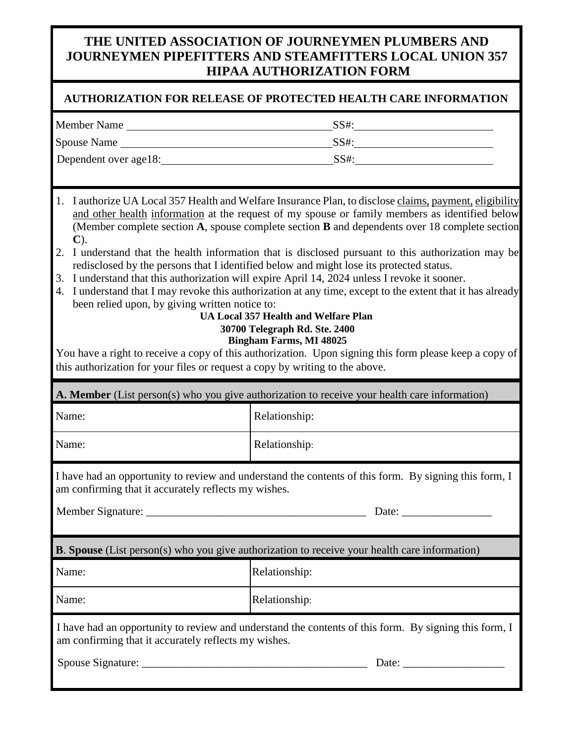## **THE UNITED ASSOCIATION OF JOURNEYMEN PLUMBERS AND JOURNEYMEN PIPEFITTERS AND STEAMFITTERS LOCAL UNION 357 HIPAA AUTHORIZATION FORM**

## **AUTHORIZATION FOR RELEASE OF PROTECTED HEALTH CARE INFORMATION**

| <b>Member Name</b>    | SS#: |
|-----------------------|------|
| <b>Spouse Name</b>    | SS#: |
| Dependent over age18: | SS#: |

- 1. I authorize UA Local 357 Health and Welfare Insurance Plan, to disclose claims, payment, eligibility and other health information at the request of my spouse or family members as identified below (Member complete section **A**, spouse complete section **B** and dependents over 18 complete section **C**).
- 2. I understand that the health information that is disclosed pursuant to this authorization may be redisclosed by the persons that I identified below and might lose its protected status.
- 3. I understand that this authorization will expire April 14, 2024 unless I revoke it sooner.
- 4. I understand that I may revoke this authorization at any time, except to the extent that it has already been relied upon, by giving written notice to:

## **UA Local 357 Health and Welfare Plan 30700 Telegraph Rd. Ste. 2400 Bingham Farms, MI 48025**

You have a right to receive a copy of this authorization. Upon signing this form please keep a copy of this authorization for your files or request a copy by writing to the above.

| A. Member (List person(s) who you give authorization to receive your health care information)                                                                 |               |  |
|---------------------------------------------------------------------------------------------------------------------------------------------------------------|---------------|--|
| Name:                                                                                                                                                         | Relationship: |  |
| Name:                                                                                                                                                         | Relationship: |  |
| I have had an opportunity to review and understand the contents of this form. By signing this form, I<br>am confirming that it accurately reflects my wishes. |               |  |
|                                                                                                                                                               |               |  |
| <b>B. Spouse</b> (List person(s) who you give authorization to receive your health care information)                                                          |               |  |
| Name:                                                                                                                                                         | Relationship: |  |
| Name:                                                                                                                                                         | Relationship: |  |
| I have had an opportunity to review and understand the contents of this form. By signing this form, I<br>am confirming that it accurately reflects my wishes. |               |  |
|                                                                                                                                                               | Date:         |  |